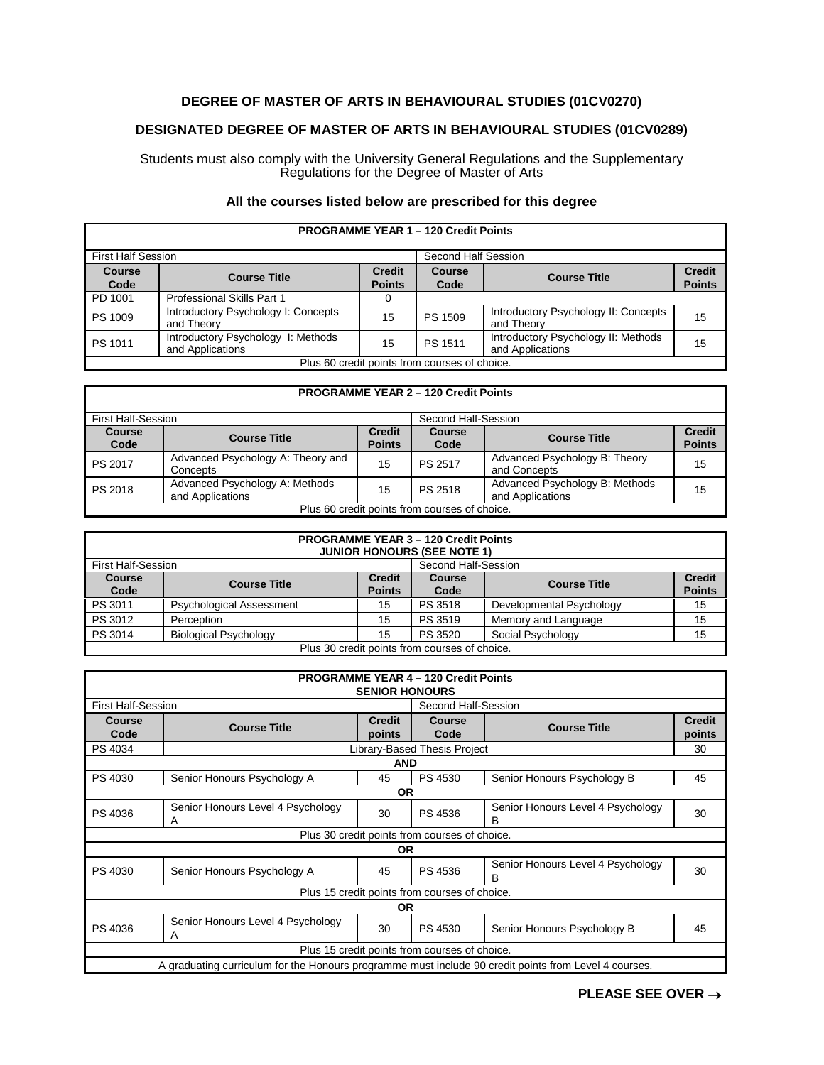## **DEGREE OF MASTER OF ARTS IN BEHAVIOURAL STUDIES (01CV0270)**

# **DESIGNATED DEGREE OF MASTER OF ARTS IN BEHAVIOURAL STUDIES (01CV0289)**

Students must also comply with the University General Regulations and the Supplementary Regulations for the Degree of Master of Arts

## **All the courses listed below are prescribed for this degree**

| <b>PROGRAMME YEAR 1 - 120 Credit Points</b>   |                                                        |                                |                       |                                                         |                                |
|-----------------------------------------------|--------------------------------------------------------|--------------------------------|-----------------------|---------------------------------------------------------|--------------------------------|
| <b>First Half Session</b>                     |                                                        |                                | Second Half Session   |                                                         |                                |
| <b>Course</b><br>Code                         | <b>Course Title</b>                                    | <b>Credit</b><br><b>Points</b> | <b>Course</b><br>Code | <b>Course Title</b>                                     | <b>Credit</b><br><b>Points</b> |
| PD 1001                                       | Professional Skills Part 1                             |                                |                       |                                                         |                                |
| PS 1009                                       | Introductory Psychology I: Concepts<br>and Theory      | 15                             | PS 1509               | Introductory Psychology II: Concepts<br>and Theory      | 15                             |
| PS 1011                                       | Introductory Psychology I: Methods<br>and Applications | 15                             | PS 1511               | Introductory Psychology II: Methods<br>and Applications | 15                             |
| Plus 60 credit points from courses of choice. |                                                        |                                |                       |                                                         |                                |

### **PROGRAMME YEAR 2 – 120 Credit Points**

| First Half-Session                            |                                                    |                                | Second Half-Session   |                                                    |                                |
|-----------------------------------------------|----------------------------------------------------|--------------------------------|-----------------------|----------------------------------------------------|--------------------------------|
| <b>Course</b><br>Code                         | <b>Course Title</b>                                | <b>Credit</b><br><b>Points</b> | <b>Course</b><br>Code | <b>Course Title</b>                                | <b>Credit</b><br><b>Points</b> |
| PS 2017                                       | Advanced Psychology A: Theory and<br>Concepts      | 15                             | PS 2517               | Advanced Psychology B: Theory<br>and Concepts      | 15                             |
| PS 2018                                       | Advanced Psychology A: Methods<br>and Applications | 15                             | PS 2518               | Advanced Psychology B: Methods<br>and Applications | 15                             |
| Plus 60 credit points from courses of choice. |                                                    |                                |                       |                                                    |                                |

| <b>PROGRAMME YEAR 3 - 120 Credit Points</b><br><b>JUNIOR HONOURS (SEE NOTE 1)</b> |                                 |                                |                     |                          |                                |
|-----------------------------------------------------------------------------------|---------------------------------|--------------------------------|---------------------|--------------------------|--------------------------------|
| First Half-Session                                                                |                                 |                                | Second Half-Session |                          |                                |
| <b>Course</b><br>Code                                                             | <b>Course Title</b>             | <b>Credit</b><br><b>Points</b> | Course<br>Code      | <b>Course Title</b>      | <b>Credit</b><br><b>Points</b> |
| PS 3011                                                                           | <b>Psychological Assessment</b> | 15                             | PS 3518             | Developmental Psychology | 15                             |
| PS 3012                                                                           | Perception                      | 15                             | PS 3519             | Memory and Language      | 15                             |
| PS 3014                                                                           | <b>Biological Psychology</b>    | 15                             | PS 3520             | Social Psychology        | 15                             |
| Plus 30 credit points from courses of choice.                                     |                                 |                                |                     |                          |                                |

| <b>PROGRAMME YEAR 4 - 120 Credit Points</b><br><b>SENIOR HONOURS</b>                                  |                                        |               |                                     |                                        |               |  |
|-------------------------------------------------------------------------------------------------------|----------------------------------------|---------------|-------------------------------------|----------------------------------------|---------------|--|
| <b>First Half-Session</b>                                                                             |                                        |               | Second Half-Session                 |                                        |               |  |
| <b>Course</b>                                                                                         | <b>Course Title</b>                    | <b>Credit</b> | <b>Course</b>                       | <b>Course Title</b>                    | <b>Credit</b> |  |
| Code                                                                                                  |                                        | points        | Code                                |                                        | points        |  |
| PS 4034                                                                                               |                                        |               | <b>Library-Based Thesis Project</b> |                                        | 30            |  |
| <b>AND</b>                                                                                            |                                        |               |                                     |                                        |               |  |
| PS 4030                                                                                               | Senior Honours Psychology A            | 45            | PS 4530                             | Senior Honours Psychology B            | 45            |  |
| <b>OR</b>                                                                                             |                                        |               |                                     |                                        |               |  |
| PS 4036                                                                                               | Senior Honours Level 4 Psychology<br>Α | 30            | PS 4536                             | Senior Honours Level 4 Psychology<br>в | 30            |  |
| Plus 30 credit points from courses of choice.                                                         |                                        |               |                                     |                                        |               |  |
| OR.                                                                                                   |                                        |               |                                     |                                        |               |  |
| PS 4030                                                                                               | Senior Honours Psychology A            | 45            | PS 4536                             | Senior Honours Level 4 Psychology<br>в | 30            |  |
| Plus 15 credit points from courses of choice.                                                         |                                        |               |                                     |                                        |               |  |
| <b>OR</b>                                                                                             |                                        |               |                                     |                                        |               |  |
| PS 4036                                                                                               | Senior Honours Level 4 Psychology<br>A | 30            | PS 4530                             | Senior Honours Psychology B            | 45            |  |
| Plus 15 credit points from courses of choice.                                                         |                                        |               |                                     |                                        |               |  |
| A graduating curriculum for the Honours programme must include 90 credit points from Level 4 courses. |                                        |               |                                     |                                        |               |  |